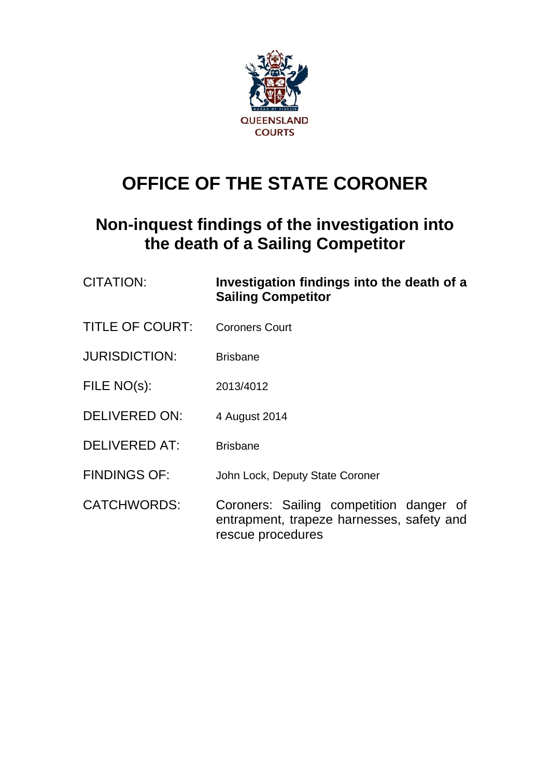

# **OFFICE OF THE STATE CORONER**

# **Non-inquest findings of the investigation into the death of a Sailing Competitor**

| <b>CITATION:</b>       | Investigation findings into the death of a<br><b>Sailing Competitor</b>                                   |
|------------------------|-----------------------------------------------------------------------------------------------------------|
| <b>TITLE OF COURT:</b> | <b>Coroners Court</b>                                                                                     |
| <b>JURISDICTION:</b>   | <b>Brisbane</b>                                                                                           |
| FILE NO(s):            | 2013/4012                                                                                                 |
| <b>DELIVERED ON:</b>   | 4 August 2014                                                                                             |
| <b>DELIVERED AT:</b>   | <b>Brisbane</b>                                                                                           |
| <b>FINDINGS OF:</b>    | John Lock, Deputy State Coroner                                                                           |
| <b>CATCHWORDS:</b>     | Coroners: Sailing competition danger of<br>entrapment, trapeze harnesses, safety and<br>rescue procedures |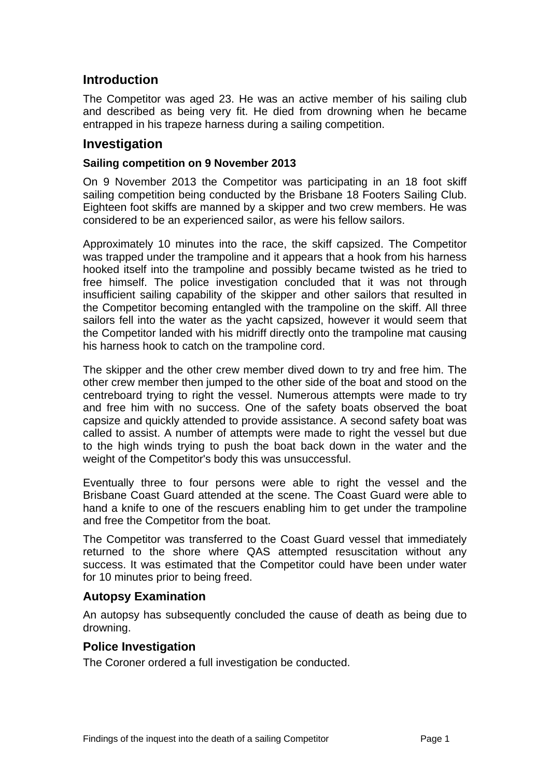## **Introduction**

The Competitor was aged 23. He was an active member of his sailing club and described as being very fit. He died from drowning when he became entrapped in his trapeze harness during a sailing competition.

### **Investigation**

#### **Sailing competition on 9 November 2013**

On 9 November 2013 the Competitor was participating in an 18 foot skiff sailing competition being conducted by the Brisbane 18 Footers Sailing Club. Eighteen foot skiffs are manned by a skipper and two crew members. He was considered to be an experienced sailor, as were his fellow sailors.

Approximately 10 minutes into the race, the skiff capsized. The Competitor was trapped under the trampoline and it appears that a hook from his harness hooked itself into the trampoline and possibly became twisted as he tried to free himself. The police investigation concluded that it was not through insufficient sailing capability of the skipper and other sailors that resulted in the Competitor becoming entangled with the trampoline on the skiff. All three sailors fell into the water as the yacht capsized, however it would seem that the Competitor landed with his midriff directly onto the trampoline mat causing his harness hook to catch on the trampoline cord.

The skipper and the other crew member dived down to try and free him. The other crew member then jumped to the other side of the boat and stood on the centreboard trying to right the vessel. Numerous attempts were made to try and free him with no success. One of the safety boats observed the boat capsize and quickly attended to provide assistance. A second safety boat was called to assist. A number of attempts were made to right the vessel but due to the high winds trying to push the boat back down in the water and the weight of the Competitor's body this was unsuccessful.

Eventually three to four persons were able to right the vessel and the Brisbane Coast Guard attended at the scene. The Coast Guard were able to hand a knife to one of the rescuers enabling him to get under the trampoline and free the Competitor from the boat.

The Competitor was transferred to the Coast Guard vessel that immediately returned to the shore where QAS attempted resuscitation without any success. It was estimated that the Competitor could have been under water for 10 minutes prior to being freed.

#### **Autopsy Examination**

An autopsy has subsequently concluded the cause of death as being due to drowning.

#### **Police Investigation**

The Coroner ordered a full investigation be conducted.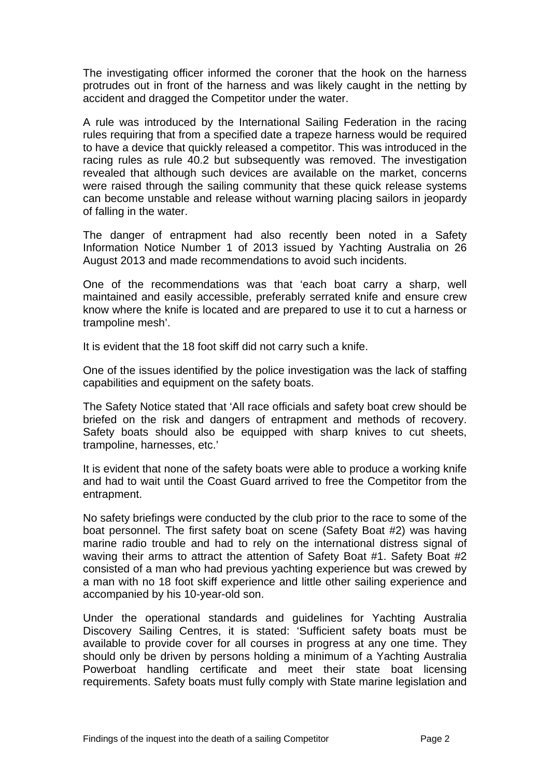The investigating officer informed the coroner that the hook on the harness protrudes out in front of the harness and was likely caught in the netting by accident and dragged the Competitor under the water.

A rule was introduced by the International Sailing Federation in the racing rules requiring that from a specified date a trapeze harness would be required to have a device that quickly released a competitor. This was introduced in the racing rules as rule 40.2 but subsequently was removed. The investigation revealed that although such devices are available on the market, concerns were raised through the sailing community that these quick release systems can become unstable and release without warning placing sailors in jeopardy of falling in the water.

The danger of entrapment had also recently been noted in a Safety Information Notice Number 1 of 2013 issued by Yachting Australia on 26 August 2013 and made recommendations to avoid such incidents.

One of the recommendations was that 'each boat carry a sharp, well maintained and easily accessible, preferably serrated knife and ensure crew know where the knife is located and are prepared to use it to cut a harness or trampoline mesh'.

It is evident that the 18 foot skiff did not carry such a knife.

One of the issues identified by the police investigation was the lack of staffing capabilities and equipment on the safety boats.

The Safety Notice stated that 'All race officials and safety boat crew should be briefed on the risk and dangers of entrapment and methods of recovery. Safety boats should also be equipped with sharp knives to cut sheets, trampoline, harnesses, etc.'

It is evident that none of the safety boats were able to produce a working knife and had to wait until the Coast Guard arrived to free the Competitor from the entrapment.

No safety briefings were conducted by the club prior to the race to some of the boat personnel. The first safety boat on scene (Safety Boat #2) was having marine radio trouble and had to rely on the international distress signal of waving their arms to attract the attention of Safety Boat #1. Safety Boat #2 consisted of a man who had previous yachting experience but was crewed by a man with no 18 foot skiff experience and little other sailing experience and accompanied by his 10-year-old son.

Under the operational standards and guidelines for Yachting Australia Discovery Sailing Centres, it is stated: 'Sufficient safety boats must be available to provide cover for all courses in progress at any one time. They should only be driven by persons holding a minimum of a Yachting Australia Powerboat handling certificate and meet their state boat licensing requirements. Safety boats must fully comply with State marine legislation and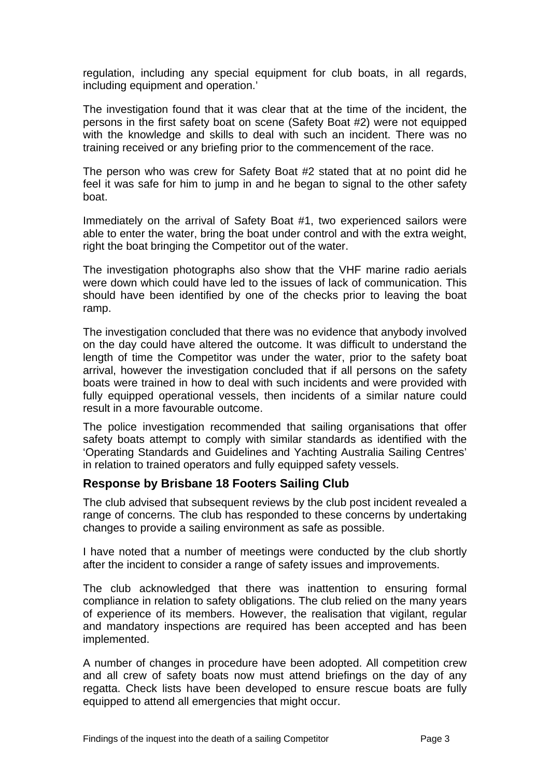regulation, including any special equipment for club boats, in all regards, including equipment and operation.'

The investigation found that it was clear that at the time of the incident, the persons in the first safety boat on scene (Safety Boat #2) were not equipped with the knowledge and skills to deal with such an incident. There was no training received or any briefing prior to the commencement of the race.

The person who was crew for Safety Boat #2 stated that at no point did he feel it was safe for him to jump in and he began to signal to the other safety boat.

Immediately on the arrival of Safety Boat #1, two experienced sailors were able to enter the water, bring the boat under control and with the extra weight, right the boat bringing the Competitor out of the water.

The investigation photographs also show that the VHF marine radio aerials were down which could have led to the issues of lack of communication. This should have been identified by one of the checks prior to leaving the boat ramp.

The investigation concluded that there was no evidence that anybody involved on the day could have altered the outcome. It was difficult to understand the length of time the Competitor was under the water, prior to the safety boat arrival, however the investigation concluded that if all persons on the safety boats were trained in how to deal with such incidents and were provided with fully equipped operational vessels, then incidents of a similar nature could result in a more favourable outcome.

The police investigation recommended that sailing organisations that offer safety boats attempt to comply with similar standards as identified with the 'Operating Standards and Guidelines and Yachting Australia Sailing Centres' in relation to trained operators and fully equipped safety vessels.

#### **Response by Brisbane 18 Footers Sailing Club**

The club advised that subsequent reviews by the club post incident revealed a range of concerns. The club has responded to these concerns by undertaking changes to provide a sailing environment as safe as possible.

I have noted that a number of meetings were conducted by the club shortly after the incident to consider a range of safety issues and improvements.

The club acknowledged that there was inattention to ensuring formal compliance in relation to safety obligations. The club relied on the many years of experience of its members. However, the realisation that vigilant, regular and mandatory inspections are required has been accepted and has been implemented.

A number of changes in procedure have been adopted. All competition crew and all crew of safety boats now must attend briefings on the day of any regatta. Check lists have been developed to ensure rescue boats are fully equipped to attend all emergencies that might occur.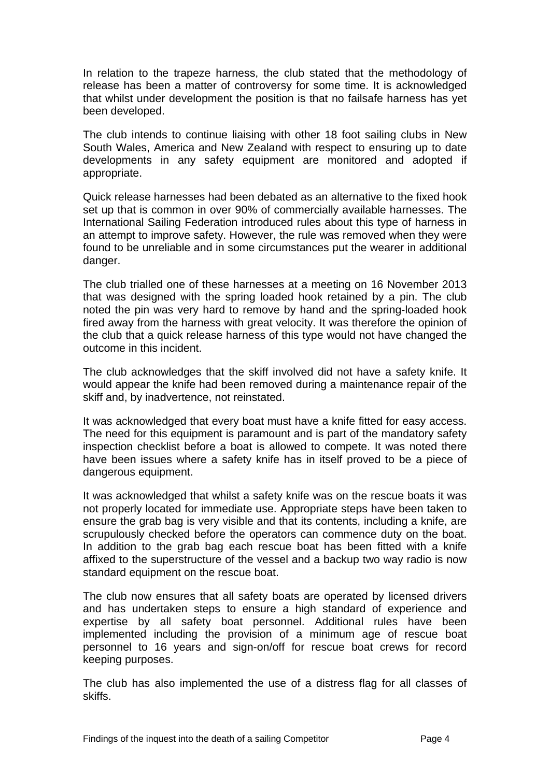In relation to the trapeze harness, the club stated that the methodology of release has been a matter of controversy for some time. It is acknowledged that whilst under development the position is that no failsafe harness has yet been developed.

The club intends to continue liaising with other 18 foot sailing clubs in New South Wales, America and New Zealand with respect to ensuring up to date developments in any safety equipment are monitored and adopted if appropriate.

Quick release harnesses had been debated as an alternative to the fixed hook set up that is common in over 90% of commercially available harnesses. The International Sailing Federation introduced rules about this type of harness in an attempt to improve safety. However, the rule was removed when they were found to be unreliable and in some circumstances put the wearer in additional danger.

The club trialled one of these harnesses at a meeting on 16 November 2013 that was designed with the spring loaded hook retained by a pin. The club noted the pin was very hard to remove by hand and the spring-loaded hook fired away from the harness with great velocity. It was therefore the opinion of the club that a quick release harness of this type would not have changed the outcome in this incident.

The club acknowledges that the skiff involved did not have a safety knife. It would appear the knife had been removed during a maintenance repair of the skiff and, by inadvertence, not reinstated.

It was acknowledged that every boat must have a knife fitted for easy access. The need for this equipment is paramount and is part of the mandatory safety inspection checklist before a boat is allowed to compete. It was noted there have been issues where a safety knife has in itself proved to be a piece of dangerous equipment.

It was acknowledged that whilst a safety knife was on the rescue boats it was not properly located for immediate use. Appropriate steps have been taken to ensure the grab bag is very visible and that its contents, including a knife, are scrupulously checked before the operators can commence duty on the boat. In addition to the grab bag each rescue boat has been fitted with a knife affixed to the superstructure of the vessel and a backup two way radio is now standard equipment on the rescue boat.

The club now ensures that all safety boats are operated by licensed drivers and has undertaken steps to ensure a high standard of experience and expertise by all safety boat personnel. Additional rules have been implemented including the provision of a minimum age of rescue boat personnel to 16 years and sign-on/off for rescue boat crews for record keeping purposes.

The club has also implemented the use of a distress flag for all classes of skiffs.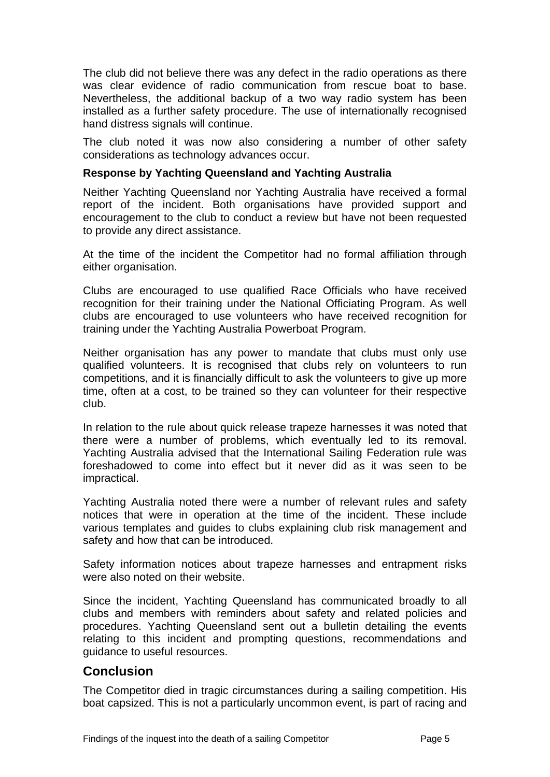The club did not believe there was any defect in the radio operations as there was clear evidence of radio communication from rescue boat to base. Nevertheless, the additional backup of a two way radio system has been installed as a further safety procedure. The use of internationally recognised hand distress signals will continue.

The club noted it was now also considering a number of other safety considerations as technology advances occur.

#### **Response by Yachting Queensland and Yachting Australia**

Neither Yachting Queensland nor Yachting Australia have received a formal report of the incident. Both organisations have provided support and encouragement to the club to conduct a review but have not been requested to provide any direct assistance.

At the time of the incident the Competitor had no formal affiliation through either organisation.

Clubs are encouraged to use qualified Race Officials who have received recognition for their training under the National Officiating Program. As well clubs are encouraged to use volunteers who have received recognition for training under the Yachting Australia Powerboat Program.

Neither organisation has any power to mandate that clubs must only use qualified volunteers. It is recognised that clubs rely on volunteers to run competitions, and it is financially difficult to ask the volunteers to give up more time, often at a cost, to be trained so they can volunteer for their respective club.

In relation to the rule about quick release trapeze harnesses it was noted that there were a number of problems, which eventually led to its removal. Yachting Australia advised that the International Sailing Federation rule was foreshadowed to come into effect but it never did as it was seen to be impractical.

Yachting Australia noted there were a number of relevant rules and safety notices that were in operation at the time of the incident. These include various templates and guides to clubs explaining club risk management and safety and how that can be introduced.

Safety information notices about trapeze harnesses and entrapment risks were also noted on their website.

Since the incident, Yachting Queensland has communicated broadly to all clubs and members with reminders about safety and related policies and procedures. Yachting Queensland sent out a bulletin detailing the events relating to this incident and prompting questions, recommendations and guidance to useful resources.

#### **Conclusion**

The Competitor died in tragic circumstances during a sailing competition. His boat capsized. This is not a particularly uncommon event, is part of racing and